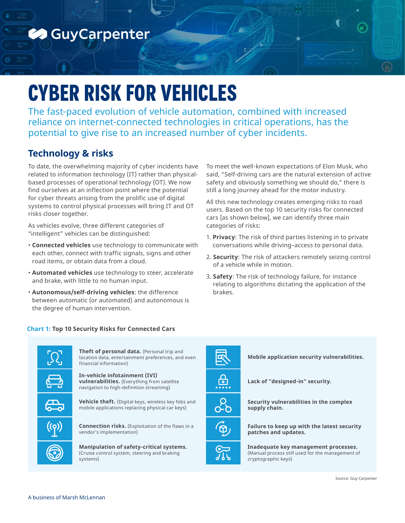

# **CYBER RISK FOR VEHICLES**

The fast-paced evolution of vehicle automation, combined with increased reliance on internet-connected technologies in critical operations, has the potential to give rise to an increased number of cyber incidents.

# **Technology & risks**

To date, the overwhelming majority of cyber incidents have related to information technology (IT) rather than physicalbased processes of operational technology (OT). We now find ourselves at an inflection point where the potential for cyber threats arising from the prolific use of digital systems to control physical processes will bring IT and OT risks closer together.

As vehicles evolve, three different categories of "intelligent" vehicles can be distinguished:

- **Connected vehicles** use technology to communicate with each other, connect with traffic signals, signs and other road items, or obtain data from a cloud.
- **Automated vehicles** use technology to steer, accelerate and brake, with little to no human input.
- **Autonomous/self-driving vehicles**: the difference between automatic (or automated) and autonomous is the degree of human intervention.

### **Chart 1: Top 10 Security Risks for Connected Cars**



**Theft of personal data.** (Personal trip and location data, entertainment preferences, and even financial information)

**In-vehicle infotainment (IVI) vulnerabilities.** (Everything from satellite navigation to high-definition streaming)

**Vehicle theft.** (Digital keys, wireless key fobs and mobile applications replacing physical car keys)

**Connection risks.** (Exploitation of the flaws in a vendor's implementation)

**Manipulation of safety-critical systems.**  (Cruise control system, steering and braking

systems)



To meet the well-known expectations of Elon Musk, who said, "Self-driving cars are the natural extension of active safety and obviously something we should do," there is still a long journey ahead for the motor industry.

All this new technology creates emerging risks to road users. Based on the top 10 security risks for connected cars [as shown below], we can identify three main categories of risks:

- 1. **Privacy**: The risk of third parties listening in to private conversations while driving–access to personal data.
- 2. **Security**: The risk of attackers remotely seizing control of a vehicle while in motion.
- 3. **Safety**: The risk of technology failure, for instance relating to algorithms dictating the application of the brakes.



**Failure to keep up with the latest security patches and updates.** 

**Inadequate key management processes.**  (Manual process still used for the management of cryptographic keys)

Source: Guy Carpenter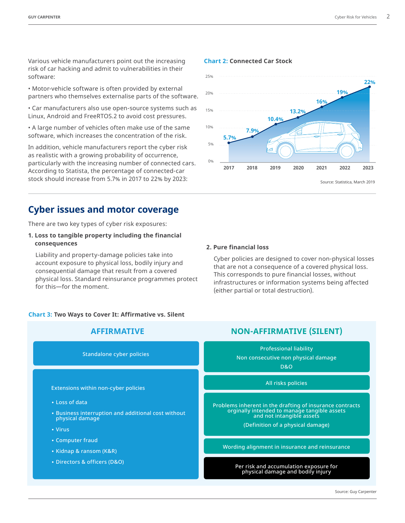Various vehicle manufacturers point out the increasing risk of car hacking and admit to vulnerabilities in their software:

• Motor-vehicle software is often provided by external partners who themselves externalise parts of the software.

• Car manufacturers also use open-source systems such as Linux, Android and FreeRTOS.2 to avoid cost pressures.

• A large number of vehicles often make use of the same software, which increases the concentration of the risk.

In addition, vehicle manufacturers report the cyber risk as realistic with a growing probability of occurrence, particularly with the increasing number of connected cars. According to Statista, the percentage of connected-car stock should increase from 5.7% in 2017 to 22% by 2023:

## **Cyber issues and motor coverage**

There are two key types of cyber risk exposures:

#### **1. Loss to tangible property including the financial consequences**

Liability and property-damage policies take into account exposure to physical loss, bodily injury and consequential damage that result from a covered physical loss. Standard reinsurance programmes protect for this—for the moment.

#### **Chart 3: Two Ways to Cover It: Affirmative vs. Silent**



## **Chart 2: Connected Car Stock**



#### **2. Pure financial loss**

Cyber policies are designed to cover non-physical losses that are not a consequence of a covered physical loss. This corresponds to pure financial losses, without infrastructures or information systems being affected (either partial or total destruction).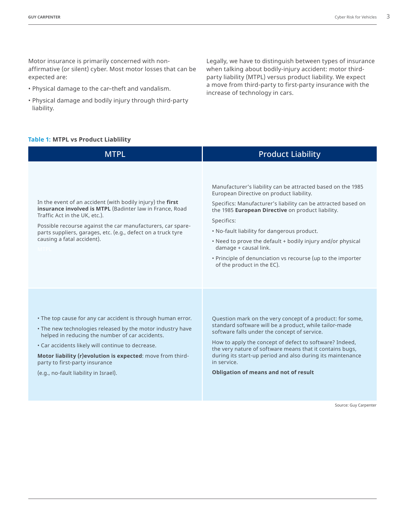Motor insurance is primarily concerned with nonaffirmative (or silent) cyber. Most motor losses that can be expected are:

- Physical damage to the car–theft and vandalism.
- Physical damage and bodily injury through third-party liability.

#### **Table 1: MTPL vs Product Liablility**

**MTPL** In the event of an accident (with bodily injury) the **first insurance involved is MTPL** (Badinter law in France, Road Traffic Act in the UK, etc.). Possible recourse against the car manufacturers, car spareparts suppliers, garages, etc. (e.g., defect on a truck tyre causing a fatal accident). • The top cause for any car accident is through human error. • The new technologies released by the motor industry have helped in reducing the number of car accidents. • Car accidents likely will continue to decrease. **Motor liability (r)evolution is expected**: move from thirdparty to first-party insurance (e.g., no-fault liability in Israel). Manufacturer's liability can be attracted based on the 1985 European Directive on product liability. Specifics: Manufacturer's liability can be attracted based on the 1985 **European Directive** on product liability. Specifics: • No-fault liability for dangerous product. • Need to prove the default + bodily injury and/or physical damage + causal link. • Principle of denunciation vs recourse (up to the importer of the product in the EC). Question mark on the very concept of a product: for some, standard software will be a product, while tailor-made software falls under the concept of service. How to apply the concept of defect to software? Indeed, the very nature of software means that it contains bugs, during its start-up period and also during its maintenance in service. **Obligation of means and not of result** Product Liability

Source: Guy Carpenter

Legally, we have to distinguish between types of insurance when talking about bodily-injury accident: motor thirdparty liability (MTPL) versus product liability. We expect a move from third-party to first-party insurance with the increase of technology in cars.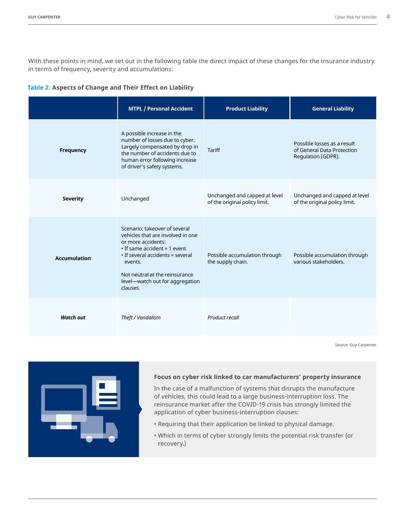With these points in mind, we set out in the following table the direct impact of these changes for the insurance industry in terms of frequency, severity and accumulations:

#### **Table 2: Aspects of Change and Their Effect on Liability**

|                     | <b>MTPL / Personal Accident</b>                                                                                                                                                                                                                                | <b>Product Liability</b>                                       | <b>General Liability</b>                                                        |
|---------------------|----------------------------------------------------------------------------------------------------------------------------------------------------------------------------------------------------------------------------------------------------------------|----------------------------------------------------------------|---------------------------------------------------------------------------------|
| Frequency           | A possible increase in the<br>number of losses due to cyber.<br>Largely compensated by drop in<br>the number of accidents due to<br>human error following increase<br>of driver's safety systems.                                                              | <b>Tariff</b>                                                  | Possible losses as a result<br>of General Data Protection<br>Regulation (GDPR). |
| <b>Severity</b>     | Unchanged                                                                                                                                                                                                                                                      | Unchanged and capped at level<br>of the original policy limit. | Unchanged and capped at level<br>of the original policy limit.                  |
| <b>Accumulation</b> | Scenario: takeover of several<br>vehicles that are involved in one<br>or more accidents:<br>$\cdot$ If same accident = 1 event<br>• If several accidents = several<br>events.<br>Not neutral at the reinsurance<br>level-watch out for aggregation<br>clauses. | Possible accumulation through<br>the supply chain.             | Possible accumulation through<br>various stakeholders.                          |
| Watch out           | Theft / Vandalism                                                                                                                                                                                                                                              | Product recall                                                 |                                                                                 |

Source: Guy Carpenter



#### **Focus on cyber risk linked to car manufacturers' property insurance**

In the case of a malfunction of systems that disrupts the manufacture of vehicles, this could lead to a large business-interruption loss. The reinsurance market after the COVID-19 crisis has strongly limited the application of cyber business-interruption clauses:

- Requiring that their application be linked to physical damage.
- Which in terms of cyber strongly limits the potential risk transfer (or recovery.)